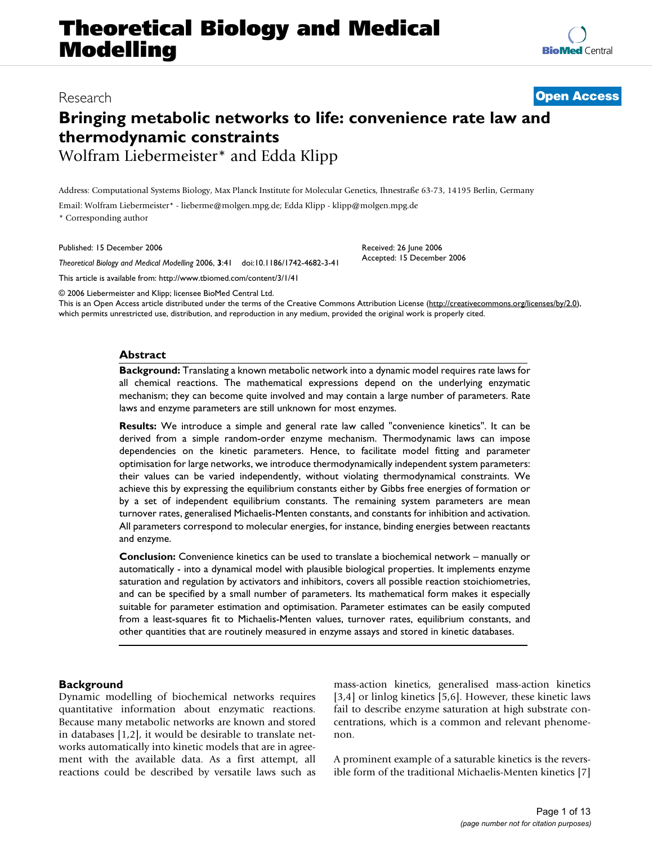# Research **[Open Access](http://www.biomedcentral.com/info/about/charter/)**

# **Bringing metabolic networks to life: convenience rate law and thermodynamic constraints** Wolfram Liebermeister\* and Edda Klipp

Address: Computational Systems Biology, Max Planck Institute for Molecular Genetics, Ihnestraße 63-73, 14195 Berlin, Germany

Email: Wolfram Liebermeister\* - lieberme@molgen.mpg.de; Edda Klipp - klipp@molgen.mpg.de

\* Corresponding author

Published: 15 December 2006

*Theoretical Biology and Medical Modelling* 2006, **3**:41 doi:10.1186/1742-4682-3-41

[This article is available from: http://www.tbiomed.com/content/3/1/41](http://www.tbiomed.com/content/3/1/41)

© 2006 Liebermeister and Klipp; licensee BioMed Central Ltd.

This is an Open Access article distributed under the terms of the Creative Commons Attribution License [\(http://creativecommons.org/licenses/by/2.0\)](http://creativecommons.org/licenses/by/2.0), which permits unrestricted use, distribution, and reproduction in any medium, provided the original work is properly cited.

Received: 26 June 2006 Accepted: 15 December 2006

# **Abstract**

**Background:** Translating a known metabolic network into a dynamic model requires rate laws for all chemical reactions. The mathematical expressions depend on the underlying enzymatic mechanism; they can become quite involved and may contain a large number of parameters. Rate laws and enzyme parameters are still unknown for most enzymes.

**Results:** We introduce a simple and general rate law called "convenience kinetics". It can be derived from a simple random-order enzyme mechanism. Thermodynamic laws can impose dependencies on the kinetic parameters. Hence, to facilitate model fitting and parameter optimisation for large networks, we introduce thermodynamically independent system parameters: their values can be varied independently, without violating thermodynamical constraints. We achieve this by expressing the equilibrium constants either by Gibbs free energies of formation or by a set of independent equilibrium constants. The remaining system parameters are mean turnover rates, generalised Michaelis-Menten constants, and constants for inhibition and activation. All parameters correspond to molecular energies, for instance, binding energies between reactants and enzyme.

**Conclusion:** Convenience kinetics can be used to translate a biochemical network – manually or automatically - into a dynamical model with plausible biological properties. It implements enzyme saturation and regulation by activators and inhibitors, covers all possible reaction stoichiometries, and can be specified by a small number of parameters. Its mathematical form makes it especially suitable for parameter estimation and optimisation. Parameter estimates can be easily computed from a least-squares fit to Michaelis-Menten values, turnover rates, equilibrium constants, and other quantities that are routinely measured in enzyme assays and stored in kinetic databases.

# **Background**

Dynamic modelling of biochemical networks requires quantitative information about enzymatic reactions. Because many metabolic networks are known and stored in databases [1,2], it would be desirable to translate networks automatically into kinetic models that are in agreement with the available data. As a first attempt, all reactions could be described by versatile laws such as mass-action kinetics, generalised mass-action kinetics [3,4] or linlog kinetics [5,6]. However, these kinetic laws fail to describe enzyme saturation at high substrate concentrations, which is a common and relevant phenomenon.

A prominent example of a saturable kinetics is the reversible form of the traditional Michaelis-Menten kinetics [7]

Page 1 of 13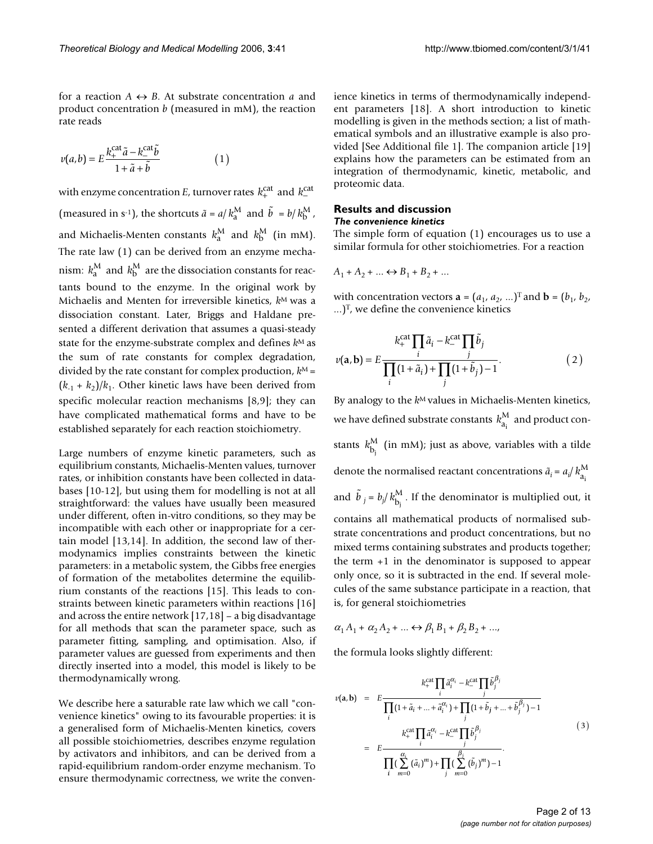for a reaction  $A \leftrightarrow B$ . At substrate concentration *a* and product concentration *b* (measured in mM), the reaction rate reads

$$
v(a,b) = E \frac{k_{+}^{\text{cat}}\tilde{a} - k_{-}^{\text{cat}}\tilde{b}}{1 + \tilde{a} + \tilde{b}}
$$
 (1)

with enzyme concentration *E*, turnover rates  $k_{+}^{\text{cat}}$  and  $k_{-}^{\text{cat}}$ (measured in s<sup>-1</sup>), the shortcuts  $\tilde{a} = a/k_a^{\text{M}}$  and  $\tilde{b} = b/k_b^{\text{M}}$ , and Michaelis-Menten constants  $k_{a}^{M}$  and  $k_{b}^{M}$  (in mM). The rate law (1) can be derived from an enzyme mechanism:  $k_{\rm a}^{\rm M}$  and  $k_{\rm b}^{\rm M}$  are the dissociation constants for reactants bound to the enzyme. In the original work by Michaelis and Menten for irreversible kinetics,  $k^M$  was a dissociation constant. Later, Briggs and Haldane presented a different derivation that assumes a quasi-steady state for the enzyme-substrate complex and defines  $k^M$  as the sum of rate constants for complex degradation, divided by the rate constant for complex production,  $k^M =$  $(k_{-1} + k_2)/k_1$ . Other kinetic laws have been derived from specific molecular reaction mechanisms [8,9]; they can have complicated mathematical forms and have to be established separately for each reaction stoichiometry.

Large numbers of enzyme kinetic parameters, such as equilibrium constants, Michaelis-Menten values, turnover rates, or inhibition constants have been collected in databases [10-12], but using them for modelling is not at all straightforward: the values have usually been measured under different, often in-vitro conditions, so they may be incompatible with each other or inappropriate for a certain model [13,14]. In addition, the second law of thermodynamics implies constraints between the kinetic parameters: in a metabolic system, the Gibbs free energies of formation of the metabolites determine the equilibrium constants of the reactions [15]. This leads to constraints between kinetic parameters within reactions [16] and across the entire network [17,18] – a big disadvantage for all methods that scan the parameter space, such as parameter fitting, sampling, and optimisation. Also, if parameter values are guessed from experiments and then directly inserted into a model, this model is likely to be thermodynamically wrong.

We describe here a saturable rate law which we call "convenience kinetics" owing to its favourable properties: it is a generalised form of Michaelis-Menten kinetics, covers all possible stoichiometries, describes enzyme regulation by activators and inhibitors, and can be derived from a rapid-equilibrium random-order enzyme mechanism. To ensure thermodynamic correctness, we write the convenience kinetics in terms of thermodynamically independent parameters [18]. A short introduction to kinetic modelling is given in the methods section; a list of mathematical symbols and an illustrative example is also provided [See Additional file 1]. The companion article [19] explains how the parameters can be estimated from an integration of thermodynamic, kinetic, metabolic, and proteomic data.

#### **Results and discussion** *The convenience kinetics*

The simple form of equation (1) encourages us to use a

$$
A_1 + A_2 + \dots \leftrightarrow B_1 + B_2 + \dots
$$

with concentration vectors  $\mathbf{a} = (a_1, a_2, \ldots)^\text{T}$  and  $\mathbf{b} = (b_1, b_2, \ldots)^\text{T}$ ...)T, we define the convenience kinetics

similar formula for other stoichiometries. For a reaction

$$
v(\mathbf{a}, \mathbf{b}) = E \frac{k_+^{\text{cat}} \prod_i \tilde{a}_i - k_-^{\text{cat}} \prod_j \tilde{b}_j}{\prod_i (1 + \tilde{a}_i) + \prod_j (1 + \tilde{b}_j) - 1}.
$$
 (2)

By analogy to the  $k^M$  values in Michaelis-Menten kinetics, we have defined substrate constants  $k_{\mathrm{a_i}^\mathrm{M}}^\mathrm{M}$  and product constants  $k_{\text{b}_i}^\text{M}$  (in mM); just as above, variables with a tilde denote the normalised reactant concentrations  $\tilde{a}_i = a_i / k_{a_i}^{\text{M}}$ and  $\tilde{b}_j = b_j / k_{b_i}^M$ . If the denominator is multiplied out, it contains all mathematical products of normalised substrate concentrations and product concentrations, but no mixed terms containing substrates and products together; the term +1 in the denominator is supposed to appear only once, so it is subtracted in the end. If several molecules of the same substance participate in a reaction, that is, for general stoichiometries i j i j

$$
\alpha_1 A_1 + \alpha_2 A_2 + \dots \leftrightarrow \beta_1 B_1 + \beta_2 B_2 + \dots,
$$

the formula looks slightly different:

$$
v(\mathbf{a}, \mathbf{b}) = E \frac{k_+^{\text{cat}} \prod_i \tilde{a}_i^{\alpha_i} - k_-^{\text{cat}} \prod_j \tilde{b}_j^{\beta_j}}{\prod_i (1 + \tilde{a}_i + \dots + \tilde{a}_i^{\alpha_i}) + \prod_j (1 + \tilde{b}_j + \dots + \tilde{b}_j^{\beta_j}) - 1}
$$
\n
$$
= E \frac{k_+^{\text{cat}} \prod_i \tilde{a}_i^{\alpha_i} - k_-^{\text{cat}} \prod_j \tilde{b}_j^{\beta_j}}{\prod_i (\sum_{m=0}^{\alpha_i} (\tilde{a}_i)^m) + \prod_j (\sum_{m=0}^{\beta_j} (\tilde{b}_j)^m) - 1}.
$$
\n(3)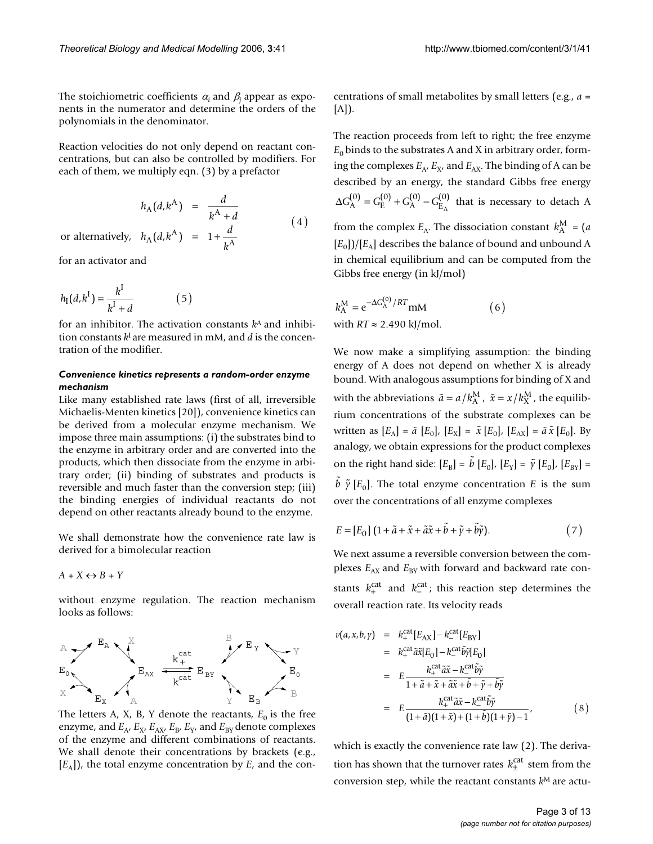Reaction velocities do not only depend on reactant concentrations, but can also be controlled by modifiers. For each of them, we multiply eqn. (3) by a prefactor

$$
h_{A}(d, k^{A}) = \frac{d}{k^{A} + d}
$$
  
or alternatively,  $h_{A}(d, k^{A}) = 1 + \frac{d}{k^{A}}$  (4)

for an activator and

$$
h_{\rm I}(d, k^{\rm I}) = \frac{k^{\rm I}}{k^{\rm I} + d} \tag{5}
$$

for an inhibitor. The activation constants  $k<sup>A</sup>$  and inhibition constants *k*I are measured in mM, and *d* is the concentration of the modifier.

# *Convenience kinetics represents a random-order enzyme mechanism*

Like many established rate laws (first of all, irreversible Michaelis-Menten kinetics [20]), convenience kinetics can be derived from a molecular enzyme mechanism. We impose three main assumptions: (i) the substrates bind to the enzyme in arbitrary order and are converted into the products, which then dissociate from the enzyme in arbitrary order; (ii) binding of substrates and products is reversible and much faster than the conversion step; (iii) the binding energies of individual reactants do not depend on other reactants already bound to the enzyme.

We shall demonstrate how the convenience rate law is derived for a bimolecular reaction

 $A + X \leftrightarrow B + Y$ 

without enzyme regulation. The reaction mechanism looks as follows:



The letters A, X, B, Y denote the reactants,  $E_0$  is the free enzyme, and  $E_A$ ,  $E_X$ ,  $E_{AX}$ ,  $E_B$ ,  $E_Y$ , and  $E_{BY}$  denote complexes of the enzyme and different combinations of reactants. We shall denote their concentrations by brackets (e.g.,  $[E_A]$ ), the total enzyme concentration by  $E$ , and the con-

centrations of small metabolites by small letters (e.g., *a* = [A]).

The reaction proceeds from left to right; the free enzyme  $E_0$  binds to the substrates A and X in arbitrary order, forming the complexes  $E_A$ ,  $E_X$ , and  $E_{AX}$ . The binding of A can be described by an energy, the standard Gibbs free energy  $\Delta G_A^{(0)} = G_E^{(0)} + G_A^{(0)} - G_{E_A}^{(0)}$  that is necessary to detach A from the complex  $E_A$ . The dissociation constant  $k_A^M = (a \cdot \nabla B)$  $[E_0]/[E_A]$  describes the balance of bound and unbound A in chemical equilibrium and can be computed from the Gibbs free energy (in kJ/mol)

$$
k_{\rm A}^{\rm M} = e^{-\Delta G_{\rm A}^{(0)}/RT} \text{mM}
$$
 (6)  
with  $RT \approx 2.490 \text{ kJ/mol}$ .

We now make a simplifying assumption: the binding energy of A does not depend on whether X is already bound. With analogous assumptions for binding of X and with the abbreviations  $\tilde{a} = a/k_A^M$ ,  $\tilde{x} = x/k_X^M$ , the equilibrium concentrations of the substrate complexes can be written as  $[E_A] = \tilde{a} [E_0]$ ,  $[E_X] = \tilde{x} [E_0]$ ,  $[E_{AX}] = \tilde{a} \tilde{x} [E_0]$ . By analogy, we obtain expressions for the product complexes on the right hand side:  $[E_{\rm B}] = \tilde{b} [E_0]$ ,  $[E_{\rm Y}] = \tilde{\gamma} [E_0]$ ,  $[E_{\rm BY}] =$  $\tilde{b}$   $\tilde{\gamma}$  [E<sub>0</sub>]. The total enzyme concentration E is the sum over the concentrations of all enzyme complexes

$$
E = [E_0] \left( 1 + \tilde{a} + \tilde{x} + \tilde{a}\tilde{x} + \tilde{b} + \tilde{\gamma} + \tilde{b}\tilde{\gamma} \right).
$$
 (7)

We next assume a reversible conversion between the complexes  $E_{AX}$  and  $E_{BY}$  with forward and backward rate constants  $k_{+}^{\text{cat}}$  and  $k_{-}^{\text{cat}}$ ; this reaction step determines the overall reaction rate. Its velocity reads

$$
v(a, x, b, \gamma) = k_{+}^{\text{cat}} [E_{\text{AX}}] - k_{-}^{\text{cat}} [E_{\text{BY}}]
$$
  
\n
$$
= k_{+}^{\text{cat}} \tilde{a} \tilde{x} [E_{0}] - k_{-}^{\text{cat}} \tilde{b} \tilde{\gamma} [E_{0}]
$$
  
\n
$$
= E \frac{k_{+}^{\text{cat}} \tilde{a} \tilde{x} - k_{-}^{\text{cat}} \tilde{b} \tilde{\gamma}}{1 + \tilde{a} + \tilde{x} + \tilde{a} \tilde{x} + \tilde{b} + \tilde{\gamma} + \tilde{b} \tilde{\gamma}}
$$
  
\n
$$
= E \frac{k_{+}^{\text{cat}} \tilde{a} \tilde{x} - k_{-}^{\text{cat}} \tilde{b} \tilde{\gamma}}{(1 + \tilde{a})(1 + \tilde{x}) + (1 + \tilde{b})(1 + \tilde{\gamma}) - 1},
$$
(8)

which is exactly the convenience rate law (2). The derivation has shown that the turnover rates  $k_{\pm}^{\text{cat}}$  stem from the conversion step, while the reactant constants *k*M are actu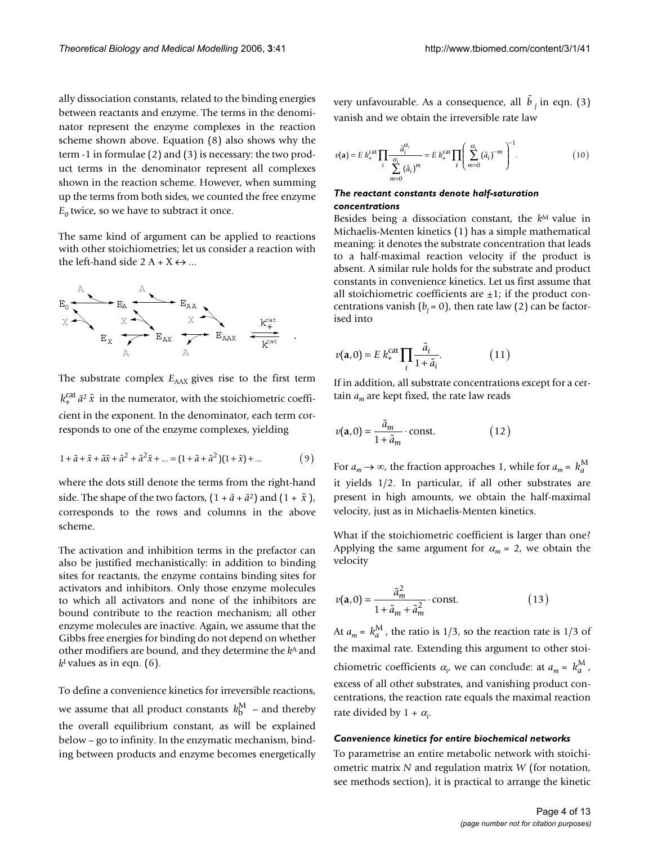ally dissociation constants, related to the binding energies between reactants and enzyme. The terms in the denominator represent the enzyme complexes in the reaction scheme shown above. Equation (8) also shows why the term -1 in formulae (2) and (3) is necessary: the two product terms in the denominator represent all complexes shown in the reaction scheme. However, when summing up the terms from both sides, we counted the free enzyme  $E_0$  twice, so we have to subtract it once.

The same kind of argument can be applied to reactions with other stoichiometries; let us consider a reaction with the left-hand side  $2 \text{ A} + \text{X} \leftrightarrow \dots$ 



The substrate complex  $E_{\text{AAX}}$  gives rise to the first term  $k_{+}^{\text{cat}}$   $\tilde{a}^2 \tilde{x}$  in the numerator, with the stoichiometric coefficient in the exponent. In the denominator, each term corresponds to one of the enzyme complexes, yielding

$$
1 + \tilde{a} + \tilde{x} + \tilde{a}\tilde{x} + \tilde{a}^2 + \tilde{a}^2\tilde{x} + \dots = (1 + \tilde{a} + \tilde{a}^2)(1 + \tilde{x}) + \dots \tag{9}
$$

where the dots still denote the terms from the right-hand side. The shape of the two factors,  $(1 + \tilde{a} + \tilde{a}^2)$  and  $(1 + \tilde{x})$ , corresponds to the rows and columns in the above scheme.

The activation and inhibition terms in the prefactor can also be justified mechanistically: in addition to binding sites for reactants, the enzyme contains binding sites for activators and inhibitors. Only those enzyme molecules to which all activators and none of the inhibitors are bound contribute to the reaction mechanism; all other enzyme molecules are inactive. Again, we assume that the Gibbs free energies for binding do not depend on whether other modifiers are bound, and they determine the *k*A and *k*I values as in eqn. (6).

To define a convenience kinetics for irreversible reactions, we assume that all product constants  $k_{\rm b}^{\rm M}$  – and thereby the overall equilibrium constant, as will be explained below – go to infinity. In the enzymatic mechanism, binding between products and enzyme becomes energetically

very unfavourable. As a consequence, all  $\tilde{b}_j$  in eqn. (3) vanish and we obtain the irreversible rate law

$$
\nu(\mathbf{a}) = E k_{+}^{\text{cat}} \prod_{i} \frac{\tilde{a}_{i}^{\alpha_{i}}}{\sum_{m=0}^{\alpha_{i}} (\tilde{a}_{i})^{m}} = E k_{+}^{\text{cat}} \prod_{i} \left( \sum_{m=0}^{\alpha_{i}} (\tilde{a}_{i})^{-m} \right)^{-1}.
$$
\n(10)

# *The reactant constants denote half-saturation concentrations*

Besides being a dissociation constant, the  $k^M$  value in Michaelis-Menten kinetics (1) has a simple mathematical meaning: it denotes the substrate concentration that leads to a half-maximal reaction velocity if the product is absent. A similar rule holds for the substrate and product constants in convenience kinetics. Let us first assume that all stoichiometric coefficients are  $\pm 1$ ; if the product concentrations vanish  $(b_i = 0)$ , then rate law (2) can be factorised into

$$
v(\mathbf{a},0) = E k_{+}^{\text{cat}} \prod_{i} \frac{\tilde{a}_{i}}{1 + \tilde{a}_{i}}.
$$
 (11)

If in addition, all substrate concentrations except for a certain  $a_m$  are kept fixed, the rate law reads

$$
v(\mathbf{a},0) = \frac{\tilde{a}_m}{1 + \tilde{a}_m} \cdot \text{const.} \tag{12}
$$

For  $a_m \to \infty$ , the fraction approaches 1, while for  $a_m = k_a^{\text{M}}$ it yields 1/2. In particular, if all other substrates are present in high amounts, we obtain the half-maximal velocity, just as in Michaelis-Menten kinetics.

What if the stoichiometric coefficient is larger than one? Applying the same argument for  $\alpha_m = 2$ , we obtain the velocity

$$
v(\mathbf{a},0) = \frac{\tilde{a}_m^2}{1 + \tilde{a}_m + \tilde{a}_m^2} \cdot \text{const.} \tag{13}
$$

At  $a_m = k_a^M$ , the ratio is 1/3, so the reaction rate is 1/3 of the maximal rate. Extending this argument to other stoichiometric coefficients  $\alpha_i$ , we can conclude: at  $a_m = k_a^M$ , excess of all other substrates, and vanishing product concentrations, the reaction rate equals the maximal reaction rate divided by 1 + <sup>α</sup>*<sup>i</sup>* .

# *Convenience kinetics for entire biochemical networks*

To parametrise an entire metabolic network with stoichiometric matrix *N* and regulation matrix *W* (for notation, see methods section), it is practical to arrange the kinetic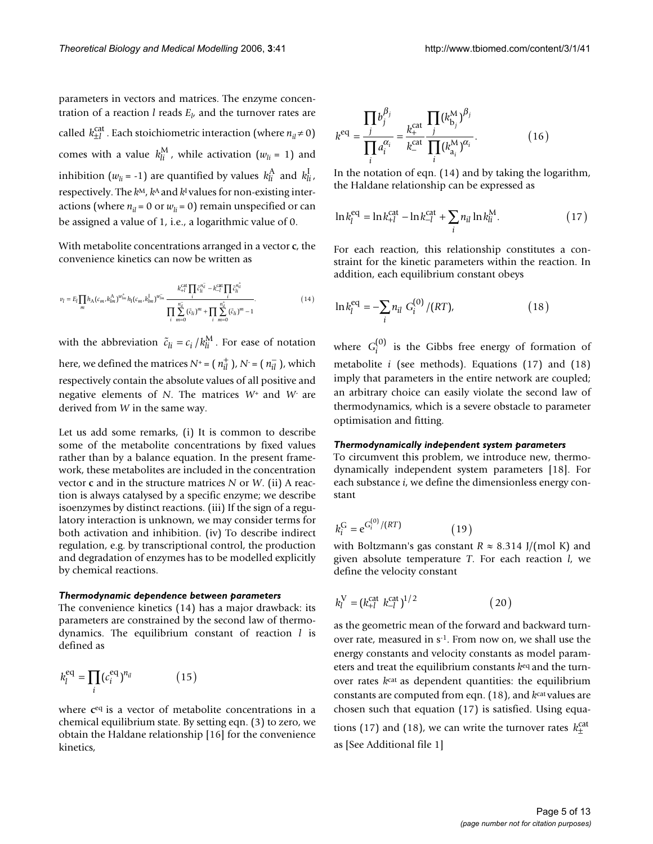parameters in vectors and matrices. The enzyme concentration of a reaction *l* reads *El* , and the turnover rates are called  $k_{\pm l}^{\text{cat}}$  . Each stoichiometric interaction (where  $n_{il} \neq 0$ ) comes with a value  $k_{li}^{\text{M}}$ , while activation ( $w_{li}$  = 1) and inhibition ( $w_{li}$  = -1) are quantified by values  $k_{li}^{\text{A}}$  and  $k_{li}^{\text{I}}$ , respectively. The  $k^M$ ,  $k^A$  and  $k^I$  values for non-existing interactions (where  $n_{il} = 0$  or  $w_{li} = 0$ ) remain unspecified or can be assigned a value of 1, i.e., a logarithmic value of 0.

With metabolite concentrations arranged in a vector **c**, the convenience kinetics can now be written as

*v E h c k hc k k ck l l m m lm <sup>w</sup> m lm <sup>w</sup> l li n i l lm lm il* = − <sup>∏</sup> + − <sup>∏</sup> <sup>−</sup> + − <sup>A</sup> <sup>A</sup> <sup>I</sup> <sup>I</sup> cat c (, ) (, ) at *c c cli n i li <sup>m</sup> m n li <sup>m</sup> m n i i il il il* + − + ∏ <sup>∏</sup> ∑ ∑ <sup>∏</sup> = = + − ( ) () () . 0 0 1 14

with the abbreviation  $\tilde{c}_{li} = c_i / k_{li}^M$ . For ease of notation here, we defined the matrices  $N^+$  = ( $n^+_{il}$ ),  $N^-$  = ( $n^-_{il}$ ), which respectively contain the absolute values of all positive and negative elements of *N*. The matrices *W*+ and *W*- are derived from *W* in the same way.

Let us add some remarks, (i) It is common to describe some of the metabolite concentrations by fixed values rather than by a balance equation. In the present framework, these metabolites are included in the concentration vector **c** and in the structure matrices *N* or *W*. (ii) A reaction is always catalysed by a specific enzyme; we describe isoenzymes by distinct reactions. (iii) If the sign of a regulatory interaction is unknown, we may consider terms for both activation and inhibition. (iv) To describe indirect regulation, e.g. by transcriptional control, the production and degradation of enzymes has to be modelled explicitly by chemical reactions.

#### *Thermodynamic dependence between parameters*

The convenience kinetics (14) has a major drawback: its parameters are constrained by the second law of thermodynamics. The equilibrium constant of reaction *l* is defined as

$$
k_l^{\text{eq}} = \prod_i (c_i^{\text{eq}})^{n_{il}} \tag{15}
$$

where **c**eq is a vector of metabolite concentrations in a chemical equilibrium state. By setting eqn. (3) to zero, we obtain the Haldane relationship [16] for the convenience kinetics,

$$
k^{\text{eq}} = \frac{\prod_{j} b_{j}^{\beta_{j}}}{\prod_{i} a_{i}^{\alpha_{i}}} = \frac{k_{+}^{\text{cat}}}{k_{-}^{\text{cat}}} \frac{\prod_{j} (k_{b_{j}}^{\text{M}})^{\beta_{j}}}{\prod_{i} (k_{a_{i}}^{\text{M}})^{\alpha_{i}}}.
$$
 (16)

In the notation of eqn. (14) and by taking the logarithm, the Haldane relationship can be expressed as

$$
\ln k_l^{\text{eq}} = \ln k_{+l}^{\text{cat}} - \ln k_{-l}^{\text{cat}} + \sum_i n_{il} \ln k_{li}^{\text{M}}.
$$
 (17)

For each reaction, this relationship constitutes a constraint for the kinetic parameters within the reaction. In addition, each equilibrium constant obeys

$$
\ln k_l^{\text{eq}} = -\sum_i n_{il} G_i^{(0)} / (RT), \tag{18}
$$

where  $G_i^{(0)}$  is the Gibbs free energy of formation of metabolite *i* (see methods). Equations (17) and (18) imply that parameters in the entire network are coupled; an arbitrary choice can easily violate the second law of thermodynamics, which is a severe obstacle to parameter optimisation and fitting.

# *Thermodynamically independent system parameters*

To circumvent this problem, we introduce new, thermodynamically independent system parameters [18]. For each substance *i*, we define the dimensionless energy constant

$$
k_i^{\rm G} = e^{{\rm G}_i^{(0)}/(RT)} \tag{19}
$$

with Boltzmann's gas constant  $R \approx 8.314$  J/(mol K) and given absolute temperature *T*. For each reaction *l*, we define the velocity constant

$$
k_l^{\rm V} = (k_{+l}^{\rm cat} \ k_{-l}^{\rm cat})^{1/2} \tag{20}
$$

as the geometric mean of the forward and backward turnover rate, measured in s-1. From now on, we shall use the energy constants and velocity constants as model parameters and treat the equilibrium constants *k*eq and the turnover rates *k*cat as dependent quantities: the equilibrium constants are computed from eqn. (18), and *k*cat values are chosen such that equation (17) is satisfied. Using equations (17) and (18), we can write the turnover rates  $k_{\pm}^{\text{cat}}$ as [See Additional file 1]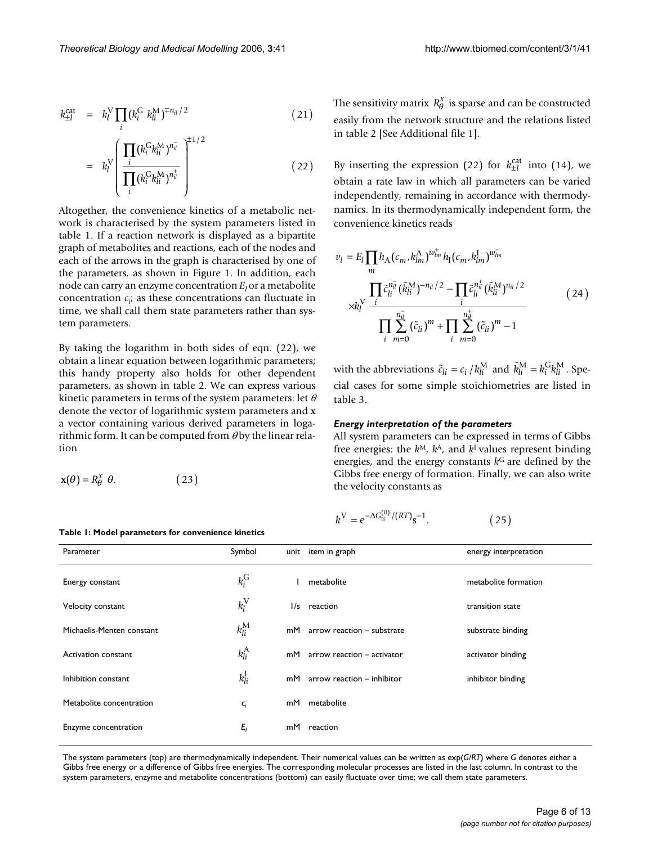$$
k_{\pm l}^{\text{cat}} = k_l^{\text{V}} \prod_i (k_i^{\text{G}} k_{li}^{\text{M}})^{\mp n_{il}/2}
$$
 (21)

$$
= k_l^{\text{V}} \left( \frac{\prod\limits_{i} (k_i^{\text{G}} k_{li}^{\text{M}})^{n_{il}}}{\prod\limits_{i} (k_i^{\text{G}} k_{li}^{\text{M}})^{n_{il}^+}} \right)^{\pm 1/2} \tag{22}
$$

Altogether, the convenience kinetics of a metabolic network is characterised by the system parameters listed in table 1. If a reaction network is displayed as a bipartite graph of metabolites and reactions, each of the nodes and each of the arrows in the graph is characterised by one of the parameters, as shown in Figure 1. In addition, each node can carry an enzyme concentration *El* or a metabolite concentration  $c_i$  as these concentrations can fluctuate in time, we shall call them state parameters rather than system parameters.

By taking the logarithm in both sides of eqn. (22), we obtain a linear equation between logarithmic parameters; this handy property also holds for other dependent parameters, as shown in table 2. We can express various kinetic parameters in terms of the system parameters: let  $\theta$ denote the vector of logarithmic system parameters and **x** a vector containing various derived parameters in logarithmic form. It can be computed from  $\theta$  by the linear relation

$$
\mathbf{x}(\theta) = R_{\theta}^{x} \ \theta. \tag{23}
$$

**Table 1: Model parameters for convenience kinetics**

The sensitivity matrix  $R_{\theta}^x$  is sparse and can be constructed easily from the network structure and the relations listed in table 2 [See Additional file 1].

By inserting the expression (22) for  $k_{\perp l}^{\text{cat}}$  into (14), we obtain a rate law in which all parameters can be varied independently, remaining in accordance with thermodynamics. In its thermodynamically independent form, the convenience kinetics reads

$$
v_{l} = E_{l} \prod_{m} h_{A} (c_{m}, k_{lm}^{A})^{w_{lm}^{+}} h_{l} (c_{m}, k_{lm}^{I})^{w_{lm}^{-}}
$$

$$
\frac{\prod_{i} \tilde{c}_{li}^{n_{il}} (\tilde{k}_{li}^{A})^{-n_{il}/2} - \prod_{i} \tilde{c}_{li}^{n_{il}^{+}} (\tilde{k}_{li}^{A})^{n_{il}/2}}{\prod_{i} \sum_{m=0}^{n_{il}^{-}} (\tilde{c}_{li})^{m} + \prod_{i} \sum_{m=0}^{n_{il}^{+}} (\tilde{c}_{li})^{m} - 1}
$$
(24)

with the abbreviations  $\tilde{c}_{li} = c_i / k_{li}^M$  and  $\tilde{k}_{li}^M = k_i^G k_{li}^M$ . Special cases for some simple stoichiometries are listed in table 3.

## *Energy interpretation of the parameters*

All system parameters can be expressed in terms of Gibbs free energies: the *k*M, *k*A, and *k*I values represent binding energies, and the energy constants  $k<sup>G</sup>$  are defined by the Gibbs free energy of formation. Finally, we can also write the velocity constants as

$$
k^{\rm V} = e^{-\Delta G_{\rm tr}^{(0)}/(RT)} s^{-1}.
$$
 (25)

| Parameter                 | Symbol           |     | unit item in graph         | energy interpretation |
|---------------------------|------------------|-----|----------------------------|-----------------------|
| Energy constant           | $k_i^{\rm G}$    |     | metabolite                 | metabolite formation  |
| Velocity constant         | $k_l^{\rm V}$    | 1/s | reaction                   | transition state      |
| Michaelis-Menten constant | $k_{li}^{\rm M}$ | mM  | arrow reaction - substrate | substrate binding     |
| Activation constant       | $k_{li}^{\rm A}$ | mM  | arrow reaction - activator | activator binding     |
| Inhibition constant       | $k_{li}^{\rm I}$ | mM  | arrow reaction - inhibitor | inhibitor binding     |
| Metabolite concentration  | $c_i$            | mM  | metabolite                 |                       |
| Enzyme concentration      | $E_{I}$          | mМ  | reaction                   |                       |

The system parameters (top) are thermodynamically independent. Their numerical values can be written as exp(*G/RT*) where *G* denotes either a Gibbs free energy or a difference of Gibbs free energies. The corresponding molecular processes are listed in the last column. In contrast to the system parameters, enzyme and metabolite concentrations (bottom) can easily fluctuate over time; we call them state parameters.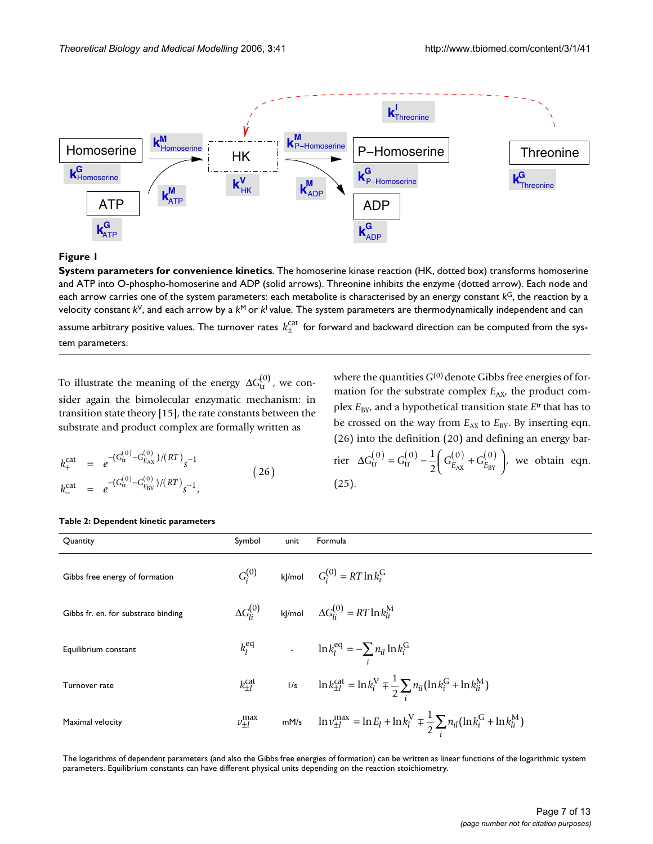

# **Figure 1**

**System parameters for convenience kinetics**. The homoserine kinase reaction (HK, dotted box) transforms homoserine and ATP into O-phospho-homoserine and ADP (solid arrows). Threonine inhibits the enzyme (dotted arrow). Each node and each arrow carries one of the system parameters: each metabolite is characterised by an energy constant *k*G, the reaction by a velocity constant *k*V, and each arrow by a *k*M or *k*I value. The system parameters are thermodynamically independent and can

assume arbitrary positive values. The turnover rates  $k_\pm^\text{cat}$  for forward and backward direction can be computed from the system parameters.

To illustrate the meaning of the energy  $\Delta G_{\rm tr}^{(0)}$  , we consider again the bimolecular enzymatic mechanism: in transition state theory [15], the rate constants between the substrate and product complex are formally written as

where the quantities  $G^{(0)}$  denote Gibbs free energies of formation for the substrate complex  $E_{AX}$ , the product complex *E*<sub>BY</sub>, and a hypothetical transition state *E*<sup>tr</sup> that has to be crossed on the way from  $E_{AX}$  to  $E_{BY}$ . By inserting eqn. (26) into the definition (20) and defining an energy barrier  $\Delta G_{\text{tr}}^{(0)} = G_{\text{tr}}^{(0)} - \frac{1}{2} \left( G_{E_{\text{AX}}}^{(0)} + G_{E_{\text{BY}}}^{(0)} \right)$ , we obtain eqn. (25). 2  $G_{\text{tr}}^{(0)} = G_{\text{tr}}^{(0)} - \frac{1}{2} \left( G_{E_{\text{AX}}}^{(0)} + G_{E_{\text{BY}}}^{(0)} \right)$ 

$$
k_{+}^{\text{cat}} = e^{-\left(G_{\text{tr}}^{(0)} - G_{E_{\text{AX}}}^{(0)}\right)/(RT)} s^{-1}
$$
\n
$$
k_{-}^{\text{cat}} = e^{-\left(G_{\text{tr}}^{(0)} - G_{E_{\text{BY}}}^{(0)}\right)/(RT)} s^{-1},
$$
\n(26)

#### **Table 2: Dependent kinetic parameters**

| Quantity                            | Symbol                   | unit                    | Formula                                                                                                                                         |
|-------------------------------------|--------------------------|-------------------------|-------------------------------------------------------------------------------------------------------------------------------------------------|
| Gibbs free energy of formation      | $G_i^{(0)}$              |                         | kJ/mol $G_i^{(0)} = RT \ln k_i^G$                                                                                                               |
| Gibbs fr. en. for substrate binding | $\Delta G_{li}^{(0)}$    |                         | kJ/mol $\Delta G_{li}^{(0)} = RT \ln k_{li}^{\text{M}}$                                                                                         |
| Equilibrium constant                | $k_l^{\rm eq}$           |                         | - $\ln k_l^{\text{eq}} = -\sum_i n_{il} \ln k_i^{\text{G}}$                                                                                     |
| Turnover rate                       | $k_{\pm l}^{\text{cat}}$ | $\mathsf{I}/\mathsf{s}$ | $\ln k_{\pm l}^{\rm cat} = \ln k_l^{\rm V} \mp \frac{1}{2} \sum_i n_{il} (\ln k_i^{\rm G} + \ln k_{li}^{\rm M})$                                |
| Maximal velocity                    | $v_{\pm l}^{\rm max}$    |                         | mM/s $\ln v_{\pm l}^{\text{max}} = \ln E_l + \ln k_l^{\text{V}} \mp \frac{1}{2} \sum_{i} n_{i l} (\ln k_i^{\text{G}} + \ln k_{l i}^{\text{M}})$ |

The logarithms of dependent parameters (and also the Gibbs free energies of formation) can be written as linear functions of the logarithmic system parameters. Equilibrium constants can have different physical units depending on the reaction stoichiometry.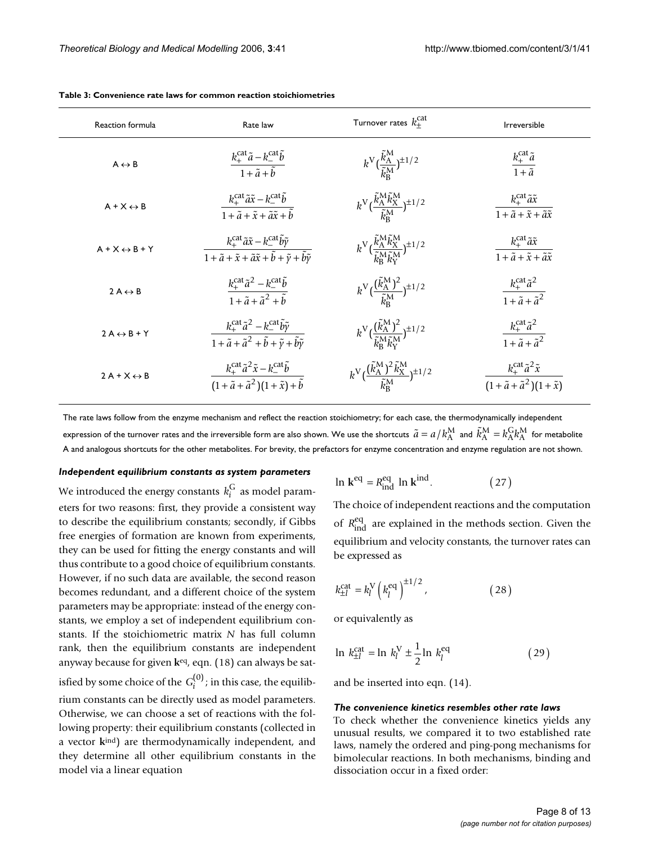| Reaction formula              | Rate law                                                                                                                                                                                    | Turnover rates $k_{+}^{\text{cat}}$                                                                                                    | Irreversible                                                                                     |
|-------------------------------|---------------------------------------------------------------------------------------------------------------------------------------------------------------------------------------------|----------------------------------------------------------------------------------------------------------------------------------------|--------------------------------------------------------------------------------------------------|
| $A \leftrightarrow B$         | $\frac{k_{+}^{\text{cat}}\tilde{a}-k_{-}^{\text{cat}}\tilde{b}}{1+\tilde{a}+\tilde{b}}$                                                                                                     | $k^{\rm V}(\frac{k_{\rm A}^{\rm M}}{\tilde{k}_{\rm B}^{\rm M}})^{\pm 1/2}$                                                             | $\frac{k_+^{\text{cat}}\tilde{a}}{1+\tilde{a}}$                                                  |
| $A + X \leftrightarrow B$     | $\frac{k_{+}^{\text{cat}}\tilde{a}\tilde{x} - k_{-}^{\text{cat}}\tilde{b}}{1 + \tilde{a} + \tilde{x} + \tilde{a}\tilde{x} + \tilde{b}}$                                                     | $k^\mathrm{V}(\frac{\tilde{k}_\mathrm{A}^\mathrm{M}\tilde{k}_\mathrm{X}^\mathrm{M}}{\tilde{k}_\mathrm{B}^\mathrm{M}})^{\pm 1/2}$       | $\frac{k_{+}^{\text{cat}}\tilde{a}\tilde{x}}{1+\tilde{a}+\tilde{x}+\tilde{a}\tilde{x}}$          |
| $A + X \leftrightarrow B + Y$ | $\frac{k_{+}^{\text{cat}}\tilde{a}\tilde{x} - k_{-}^{\text{cat}}\tilde{b}\tilde{\gamma}}{1 + \tilde{a} + \tilde{x} + \tilde{a}\tilde{x} + \tilde{b} + \tilde{y} + \tilde{b}\tilde{\gamma}}$ | $k^{\rm V}(\frac{\tilde{k}_{\rm A}^{\rm M} \tilde{k}_{\rm X}^{\rm M}}{\tilde{k}_{\rm B}^{\rm M} \tilde{k}_{\rm Y}^{\rm M}})^{\pm 1/2}$ | $\frac{k_+^{\text{cat}}\tilde{a}\tilde{x}}{1+\tilde{a}+\tilde{x}+\tilde{a}\tilde{x}}$            |
| $2A \leftrightarrow B$        | $\frac{k_+^{\text{cat}}\tilde{a}^2 - k_-^{\text{cat}}\tilde{b}}{1 + \tilde{a} + \tilde{a}^2 + \tilde{b}}$                                                                                   | $k^{\rm V}\left(\frac{(\tilde{k}_{\rm A}^{\rm M})^2}{\tilde{k}_{\rm B}^{\rm M}}\right)^{\pm 1/2}$                                      | $\frac{k_+^{\text{cat}}\tilde{a}^2}{1+\tilde{a}+\tilde{a}^2}$                                    |
| $2A \leftrightarrow B+Y$      | $\frac{k_{+}^{\mathrm{cat}}\tilde{a}^{2}-k_{-}^{\mathrm{cat}}\tilde{b}\tilde{\gamma}}{1+\tilde{a}+\tilde{a}^{2}+\tilde{b}+\tilde{\gamma}+\tilde{b}\tilde{\gamma}}$                          | $k^{\rm V}(\frac{(\tilde{k}_{\rm A}^{\rm M})^2}{\tilde{k}_{\rm P}^{\rm M}\tilde{k}_{\rm V}^{\rm M}})^{\pm 1/2}$                        | $\frac{k_+^{\text{cat}}\tilde{a}^2}{1+\tilde{a}+\tilde{a}^2}$                                    |
| $2A+X \leftrightarrow B$      | $\frac{k_{+}^{\text{cat}}\tilde{a}^{2}\tilde{x} - k_{-}^{\text{cat}}\tilde{b}}{(1 + \tilde{a} + \tilde{a}^{2})(1 + \tilde{x}) + \tilde{b}}$                                                 | $k^{\rm V}\left(\frac{(\tilde{k}_{\rm A}^{\rm M})^2\tilde{k}_{\rm X}^{\rm M}}{\tilde{k}_{\rm P}^{\rm M}}\right)^{\pm1/2}$              | $k_{+}^{\text{cat}}\tilde{a}^{2}\tilde{x}$<br>$\frac{1}{(1+\tilde{a}+\tilde{a}^2)(1+\tilde{x})}$ |

**Table 3: Convenience rate laws for common reaction stoichiometries**

The rate laws follow from the enzyme mechanism and reflect the reaction stoichiometry; for each case, the thermodynamically independent expression of the turnover rates and the irreversible form are also shown. We use the shortcuts  $\tilde{a}=a/k_{\rm A}^{\rm M}$  and  $\tilde{k}_{\rm A}^{\rm M}=k_{\rm A}^{\rm G}k_{\rm A}^{\rm M}$  for metabolite A and analogous shortcuts for the other metabolites. For brevity, the prefactors for enzyme concentration and enzyme regulation are not shown.

# *Independent equilibrium constants as system parameters*

We introduced the energy constants  $k_i^{\rm G}$  as model parameters for two reasons: first, they provide a consistent way to describe the equilibrium constants; secondly, if Gibbs free energies of formation are known from experiments, they can be used for fitting the energy constants and will thus contribute to a good choice of equilibrium constants. However, if no such data are available, the second reason becomes redundant, and a different choice of the system parameters may be appropriate: instead of the energy constants, we employ a set of independent equilibrium constants. If the stoichiometric matrix *N* has full column rank, then the equilibrium constants are independent anyway because for given **k**eq, eqn. (18) can always be satisfied by some choice of the  $G_i^{(0)}$ ; in this case, the equilibrium constants can be directly used as model parameters. Otherwise, we can choose a set of reactions with the following property: their equilibrium constants (collected in a vector **k**ind) are thermodynamically independent, and they determine all other equilibrium constants in the model via a linear equation

$$
\ln \mathbf{k}^{\text{eq}} = R_{\text{ind}}^{\text{eq}} \ln \mathbf{k}^{\text{ind}}.
$$
 (27)

The choice of independent reactions and the computation of  $R_{\text{ind}}^{\text{eq}}$  are explained in the methods section. Given the equilibrium and velocity constants, the turnover rates can be expressed as

$$
k_{\pm l}^{\text{cat}} = k_l^{\text{V}} \left( k_l^{\text{eq}} \right)^{\pm 1/2}, \tag{28}
$$

or equivalently as

$$
\ln k_{\pm l}^{\text{cat}} = \ln k_l^{\text{V}} \pm \frac{1}{2} \ln k_l^{\text{eq}} \tag{29}
$$

and be inserted into eqn. (14).

#### *The convenience kinetics resembles other rate laws*

To check whether the convenience kinetics yields any unusual results, we compared it to two established rate laws, namely the ordered and ping-pong mechanisms for bimolecular reactions. In both mechanisms, binding and dissociation occur in a fixed order: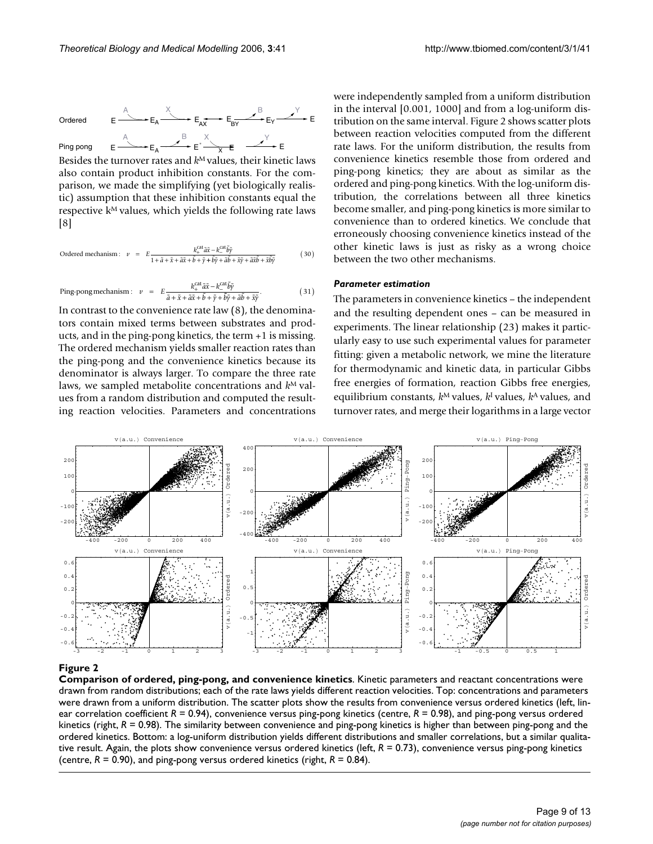

Besides the turnover rates and  $k^M$  values, their kinetic laws also contain product inhibition constants. For the comparison, we made the simplifying (yet biologically realistic) assumption that these inhibition constants equal the respective  $k<sup>M</sup>$  values, which yields the following rate laws [8]

Ordered mechanism: 
$$
v = E \frac{k_{+}^{\text{cat}} \tilde{a}\tilde{x} - k_{-}^{\text{cat}} \tilde{b}\tilde{y}}{1 + \tilde{a} + \tilde{x} + \tilde{a}\tilde{x} + \tilde{b} + \tilde{y} + \tilde{b}\tilde{y} + \tilde{a}\tilde{b} + \tilde{x}\tilde{y} + \tilde{a}\tilde{x}\tilde{b} + \tilde{x}\tilde{b}\tilde{y}}
$$
\n(30)

Ping-pong mechanism: 
$$
v = E \frac{k_{+}^{\text{cat}} \tilde{a}\tilde{x} - k_{-}^{\text{cat}} \tilde{b}\tilde{y}}{\tilde{a} + \tilde{x} + \tilde{a}\tilde{x} + \tilde{b} + \tilde{y} + \tilde{b}\tilde{y} + \tilde{a}\tilde{b} + \tilde{x}\tilde{y}}.
$$
 (31)

In contrast to the convenience rate law (8), the denominators contain mixed terms between substrates and products, and in the ping-pong kinetics, the term +1 is missing. The ordered mechanism yields smaller reaction rates than the ping-pong and the convenience kinetics because its denominator is always larger. To compare the three rate laws, we sampled metabolite concentrations and  $k^M$  values from a random distribution and computed the resulting reaction velocities. Parameters and concentrations were independently sampled from a uniform distribution in the interval [0.001, 1000] and from a log-uniform distribution on the same interval. Figure 2 shows scatter plots between reaction velocities computed from the different rate laws. For the uniform distribution, the results from convenience kinetics resemble those from ordered and ping-pong kinetics; they are about as similar as the ordered and ping-pong kinetics. With the log-uniform distribution, the correlations between all three kinetics become smaller, and ping-pong kinetics is more similar to convenience than to ordered kinetics. We conclude that erroneously choosing convenience kinetics instead of the other kinetic laws is just as risky as a wrong choice between the two other mechanisms.

# *Parameter estimation*

The parameters in convenience kinetics – the independent and the resulting dependent ones – can be measured in experiments. The linear relationship (23) makes it particularly easy to use such experimental values for parameter fitting: given a metabolic network, we mine the literature for thermodynamic and kinetic data, in particular Gibbs free energies of formation, reaction Gibbs free energies, equilibrium constants,  $k^M$  values,  $k^I$  values,  $k^A$  values, and turnover rates, and merge their logarithms in a large vector



#### **Figure 2**

**Comparison of ordered, ping-pong, and convenience kinetics**. Kinetic parameters and reactant concentrations were drawn from random distributions; each of the rate laws yields different reaction velocities. Top: concentrations and parameters were drawn from a uniform distribution. The scatter plots show the results from convenience versus ordered kinetics (left, linear correlation coefficient *R* = 0.94), convenience versus ping-pong kinetics (centre, *R* = 0.98), and ping-pong versus ordered kinetics (right,  $R = 0.98$ ). The similarity between convenience and ping-pong kinetics is higher than between ping-pong and the ordered kinetics. Bottom: a log-uniform distribution yields different distributions and smaller correlations, but a similar qualitative result. Again, the plots show convenience versus ordered kinetics (left, *R* = 0.73), convenience versus ping-pong kinetics (centre, *R* = 0.90), and ping-pong versus ordered kinetics (right, *R* = 0.84).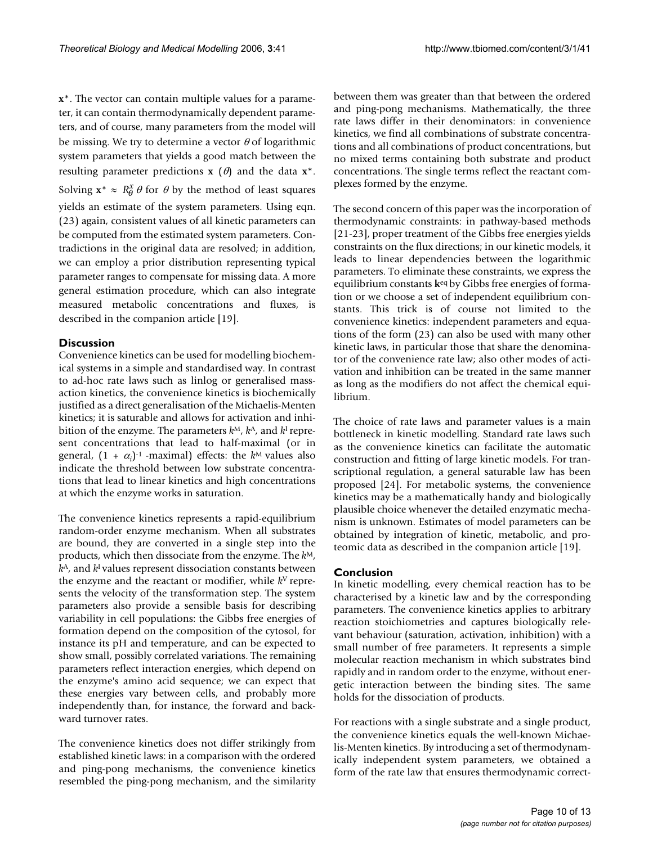**x**\*. The vector can contain multiple values for a parameter, it can contain thermodynamically dependent parameters, and of course, many parameters from the model will be missing. We try to determine a vector  $\theta$  of logarithmic system parameters that yields a good match between the resulting parameter predictions **x**  $(\theta)$  and the data **x**\*. Solving  $\mathbf{x}^* \approx R_\theta^x \theta$  for  $\theta$  by the method of least squares yields an estimate of the system parameters. Using eqn. (23) again, consistent values of all kinetic parameters can be computed from the estimated system parameters. Contradictions in the original data are resolved; in addition, we can employ a prior distribution representing typical parameter ranges to compensate for missing data. A more general estimation procedure, which can also integrate measured metabolic concentrations and fluxes, is described in the companion article [19].

# **Discussion**

Convenience kinetics can be used for modelling biochemical systems in a simple and standardised way. In contrast to ad-hoc rate laws such as linlog or generalised massaction kinetics, the convenience kinetics is biochemically justified as a direct generalisation of the Michaelis-Menten kinetics; it is saturable and allows for activation and inhibition of the enzyme. The parameters *k*M, *k*A, and *k*I represent concentrations that lead to half-maximal (or in general, (1 + <sup>α</sup>*<sup>i</sup>* )-1 -maximal) effects: the *k*M values also indicate the threshold between low substrate concentrations that lead to linear kinetics and high concentrations at which the enzyme works in saturation.

The convenience kinetics represents a rapid-equilibrium random-order enzyme mechanism. When all substrates are bound, they are converted in a single step into the products, which then dissociate from the enzyme. The *k*M, *k*A, and *k*I values represent dissociation constants between the enzyme and the reactant or modifier, while *k*V represents the velocity of the transformation step. The system parameters also provide a sensible basis for describing variability in cell populations: the Gibbs free energies of formation depend on the composition of the cytosol, for instance its pH and temperature, and can be expected to show small, possibly correlated variations. The remaining parameters reflect interaction energies, which depend on the enzyme's amino acid sequence; we can expect that these energies vary between cells, and probably more independently than, for instance, the forward and backward turnover rates.

The convenience kinetics does not differ strikingly from established kinetic laws: in a comparison with the ordered and ping-pong mechanisms, the convenience kinetics resembled the ping-pong mechanism, and the similarity between them was greater than that between the ordered and ping-pong mechanisms. Mathematically, the three rate laws differ in their denominators: in convenience kinetics, we find all combinations of substrate concentrations and all combinations of product concentrations, but no mixed terms containing both substrate and product concentrations. The single terms reflect the reactant complexes formed by the enzyme.

The second concern of this paper was the incorporation of thermodynamic constraints: in pathway-based methods [21-23], proper treatment of the Gibbs free energies yields constraints on the flux directions; in our kinetic models, it leads to linear dependencies between the logarithmic parameters. To eliminate these constraints, we express the equilibrium constants **k**eq by Gibbs free energies of formation or we choose a set of independent equilibrium constants. This trick is of course not limited to the convenience kinetics: independent parameters and equations of the form (23) can also be used with many other kinetic laws, in particular those that share the denominator of the convenience rate law; also other modes of activation and inhibition can be treated in the same manner as long as the modifiers do not affect the chemical equilibrium.

The choice of rate laws and parameter values is a main bottleneck in kinetic modelling. Standard rate laws such as the convenience kinetics can facilitate the automatic construction and fitting of large kinetic models. For transcriptional regulation, a general saturable law has been proposed [24]. For metabolic systems, the convenience kinetics may be a mathematically handy and biologically plausible choice whenever the detailed enzymatic mechanism is unknown. Estimates of model parameters can be obtained by integration of kinetic, metabolic, and proteomic data as described in the companion article [19].

# **Conclusion**

In kinetic modelling, every chemical reaction has to be characterised by a kinetic law and by the corresponding parameters. The convenience kinetics applies to arbitrary reaction stoichiometries and captures biologically relevant behaviour (saturation, activation, inhibition) with a small number of free parameters. It represents a simple molecular reaction mechanism in which substrates bind rapidly and in random order to the enzyme, without energetic interaction between the binding sites. The same holds for the dissociation of products.

For reactions with a single substrate and a single product, the convenience kinetics equals the well-known Michaelis-Menten kinetics. By introducing a set of thermodynamically independent system parameters, we obtained a form of the rate law that ensures thermodynamic correct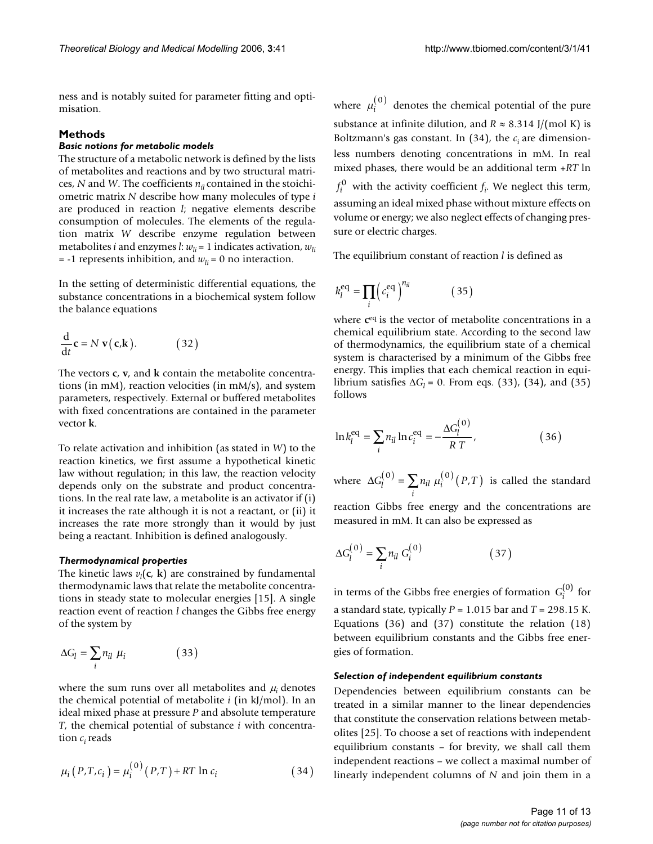ness and is notably suited for parameter fitting and optimisation.

# **Methods**

# *Basic notions for metabolic models*

The structure of a metabolic network is defined by the lists of metabolites and reactions and by two structural matrices, *N* and *W*. The coefficients  $n_{il}$  contained in the stoichiometric matrix *N* describe how many molecules of type *i* are produced in reaction *l*; negative elements describe consumption of molecules. The elements of the regulation matrix *W* describe enzyme regulation between metabolites *i* and enzymes *l*:  $w_{li}$  = 1 indicates activation,  $w_{li}$  $= -1$  represents inhibition, and  $w_{li} = 0$  no interaction.

In the setting of deterministic differential equations, the substance concentrations in a biochemical system follow the balance equations

$$
\frac{\mathrm{d}}{\mathrm{d}t}\mathbf{c} = N \mathbf{v}(\mathbf{c}, \mathbf{k}).\tag{32}
$$

The vectors **c**, **v**, and **k** contain the metabolite concentrations (in mM), reaction velocities (in mM/s), and system parameters, respectively. External or buffered metabolites with fixed concentrations are contained in the parameter vector **k**.

To relate activation and inhibition (as stated in *W*) to the reaction kinetics, we first assume a hypothetical kinetic law without regulation; in this law, the reaction velocity depends only on the substrate and product concentrations. In the real rate law, a metabolite is an activator if (i) it increases the rate although it is not a reactant, or (ii) it increases the rate more strongly than it would by just being a reactant. Inhibition is defined analogously.

#### *Thermodynamical properties*

The kinetic laws  $v_l(\mathbf{c}, \mathbf{k})$  are constrained by fundamental thermodynamic laws that relate the metabolite concentrations in steady state to molecular energies [15]. A single reaction event of reaction *l* changes the Gibbs free energy of the system by

$$
\Delta G_l = \sum_i n_{il} \mu_i \tag{33}
$$

where the sum runs over all metabolites and  $\mu_i$  denotes the chemical potential of metabolite *i* (in kJ/mol). In an ideal mixed phase at pressure *P* and absolute temperature *T*, the chemical potential of substance *i* with concentration *ci* reads

$$
\mu_i(P, T, c_i) = \mu_i^{(0)}(P, T) + RT \ln c_i
$$
 (34)

where  $\mu_i^{(0)}$  denotes the chemical potential of the pure substance at infinite dilution, and  $R \approx 8.314$  J/(mol K) is Boltzmann's gas constant. In  $(34)$ , the  $c<sub>i</sub>$  are dimensionless numbers denoting concentrations in mM. In real mixed phases, there would be an additional term +*RT* ln  $f_i^0$  with the activity coefficient  $f_i$ . We neglect this term, assuming an ideal mixed phase without mixture effects on volume or energy; we also neglect effects of changing pressure or electric charges.

The equilibrium constant of reaction *l* is defined as

$$
k_l^{\text{eq}} = \prod_i \left( c_i^{\text{eq}} \right)^{n_{il}} \tag{35}
$$

where  $c^{eq}$  is the vector of metabolite concentrations in a chemical equilibrium state. According to the second law of thermodynamics, the equilibrium state of a chemical system is characterised by a minimum of the Gibbs free energy. This implies that each chemical reaction in equilibrium satisfies  $\Delta G_l$  = 0. From eqs. (33), (34), and (35) follows

$$
\ln k_l^{\text{eq}} = \sum_i n_{il} \ln c_i^{\text{eq}} = -\frac{\Delta G_l^{(0)}}{R T},\tag{36}
$$

where  $\Delta G_l^{(0)} = \sum_i n_{i l} \mu_i^{(0)}(P,T)$  is called the standard  $\mu_l^{(0)} = \sum n_{il} \mu_i^{(0)}(P,T)$ 

reaction Gibbs free energy and the concentrations are measured in mM. It can also be expressed as

$$
\Delta G_l^{(0)} = \sum_i n_{il} G_i^{(0)} \tag{37}
$$

in terms of the Gibbs free energies of formation  $G_i^{(0)}$  for a standard state, typically  $P = 1.015$  bar and  $T = 298.15$  K. Equations (36) and (37) constitute the relation (18) between equilibrium constants and the Gibbs free energies of formation.

# *Selection of independent equilibrium constants*

Dependencies between equilibrium constants can be treated in a similar manner to the linear dependencies that constitute the conservation relations between metabolites [25]. To choose a set of reactions with independent equilibrium constants – for brevity, we shall call them independent reactions – we collect a maximal number of linearly independent columns of *N* and join them in a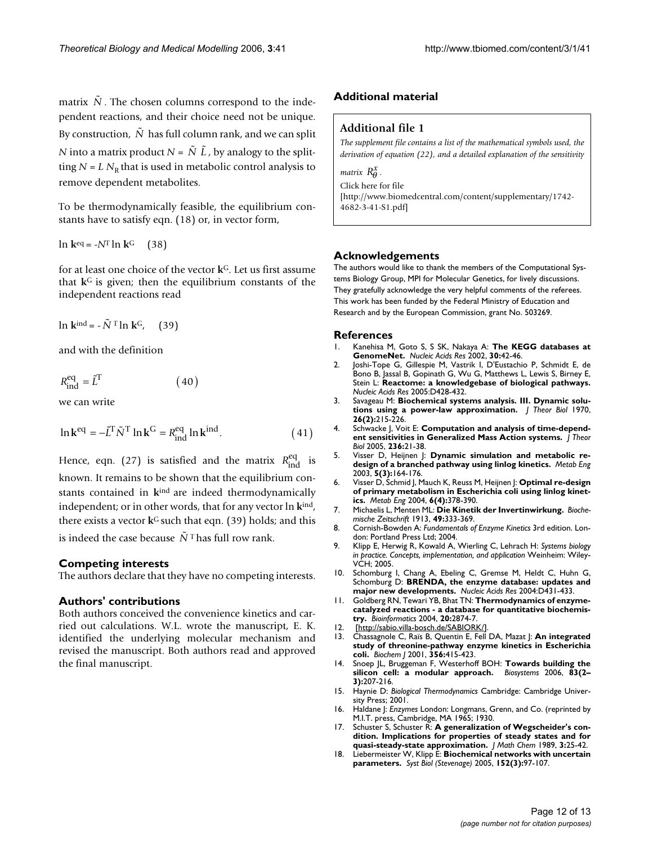matrix  $\tilde{N}$ . The chosen columns correspond to the independent reactions, and their choice need not be unique. By construction,  $\tilde{N}$  has full column rank, and we can split *N* into a matrix product  $N = \tilde{N}$   $\tilde{L}$  , by analogy to the splitting  $N = L N_R$  that is used in metabolic control analysis to remove dependent metabolites.

To be thermodynamically feasible, the equilibrium constants have to satisfy eqn. (18) or, in vector form,

$$
\ln k^{eq} = -N^{T} \ln k^{G} \quad (38)
$$

for at least one choice of the vector **k**G. Let us first assume that **k**G is given; then the equilibrium constants of the independent reactions read

 $\ln k^{\text{ind}} = -\tilde{N}^{\text{T}} \ln k^{\text{G}}$ , (39)

and with the definition

$$
R_{\rm ind}^{\rm eq} = \tilde{L}^{\rm T} \tag{40}
$$

we can write

$$
\ln k^{\text{eq}} = -\tilde{L}^{\text{T}} \tilde{N}^{\text{T}} \ln k^{\text{G}} = R_{\text{ind}}^{\text{eq}} \ln k^{\text{ind}}.
$$
 (41)

Hence, eqn. (27) is satisfied and the matrix  $R_{\text{ind}}^{\text{eq}}$  is known. It remains to be shown that the equilibrium constants contained in **k**ind are indeed thermodynamically independent; or in other words, that for any vector ln **k**ind, there exists a vector  $k<sup>G</sup>$  such that eqn. (39) holds; and this is indeed the case because  $\tilde{N}^{\,T}\!$  has full row rank.

# **Competing interests**

The authors declare that they have no competing interests.

## **Authors' contributions**

Both authors conceived the convenience kinetics and carried out calculations. W.L. wrote the manuscript, E. K. identified the underlying molecular mechanism and revised the manuscript. Both authors read and approved the final manuscript.

# **Additional material**

# **Additional file 1**

*The supplement file contains a list of the mathematical symbols used, the derivation of equation (22), and a detailed explanation of the sensitivity* 

*matrix*  $R_{\theta}^{x}$ . Click here for file [\[http://www.biomedcentral.com/content/supplementary/1742-](http://www.biomedcentral.com/content/supplementary/1742-4682-3-41-S1.pdf)

4682-3-41-S1.pdf]

## **Acknowledgements**

The authors would like to thank the members of the Computational Systems Biology Group, MPI for Molecular Genetics, for lively discussions. They gratefully acknowledge the very helpful comments of the referees. This work has been funded by the Federal Ministry of Education and Research and by the European Commission, grant No. 503269.

#### **References**

- 1. Kanehisa M, Goto S, S SK, Nakaya A: **[The KEGG databases at](http://www.ncbi.nlm.nih.gov/entrez/query.fcgi?cmd=Retrieve&db=PubMed&dopt=Abstract&list_uids=11752249) [GenomeNet.](http://www.ncbi.nlm.nih.gov/entrez/query.fcgi?cmd=Retrieve&db=PubMed&dopt=Abstract&list_uids=11752249)** *Nucleic Acids Res* 2002, **30:**42-46.
- 2. Joshi-Tope G, Gillespie M, Vastrik I, D'Eustachio P, Schmidt E, de Bono B, Jassal B, Gopinath G, Wu G, Matthews L, Lewis S, Birney E, Stein L: **[Reactome: a knowledgebase of biological pathways.](http://www.ncbi.nlm.nih.gov/entrez/query.fcgi?cmd=Retrieve&db=PubMed&dopt=Abstract&list_uids=15608231)** *Nucleic Acids Res* 2005:D428-432.
- 3. Savageau M: **[Biochemical systems analysis. III. Dynamic solu](http://www.ncbi.nlm.nih.gov/entrez/query.fcgi?cmd=Retrieve&db=PubMed&dopt=Abstract&list_uids=5434343)[tions using a power-law approximation.](http://www.ncbi.nlm.nih.gov/entrez/query.fcgi?cmd=Retrieve&db=PubMed&dopt=Abstract&list_uids=5434343)** *J Theor Biol* 1970, **26(2):**215-226.
- 4. Schwacke J, Voit E: **[Computation and analysis of time-depend](http://www.ncbi.nlm.nih.gov/entrez/query.fcgi?cmd=Retrieve&db=PubMed&dopt=Abstract&list_uids=15967181)[ent sensitivities in Generalized Mass Action systems.](http://www.ncbi.nlm.nih.gov/entrez/query.fcgi?cmd=Retrieve&db=PubMed&dopt=Abstract&list_uids=15967181)** *J Theor Biol* 2005, **236:**21-38.
- 5. Visser D, Heijnen J: **[Dynamic simulation and metabolic re](http://www.ncbi.nlm.nih.gov/entrez/query.fcgi?cmd=Retrieve&db=PubMed&dopt=Abstract&list_uids=12948750)[design of a branched pathway using linlog kinetics.](http://www.ncbi.nlm.nih.gov/entrez/query.fcgi?cmd=Retrieve&db=PubMed&dopt=Abstract&list_uids=12948750)** *Metab Eng* 2003, **5(3):**164-176.
- 6. Visser D, Schmid J, Mauch K, Reuss M, Heijnen J: **[Optimal re-design](http://www.ncbi.nlm.nih.gov/entrez/query.fcgi?cmd=Retrieve&db=PubMed&dopt=Abstract&list_uids=15491866) [of primary metabolism in Escherichia coli using linlog kinet](http://www.ncbi.nlm.nih.gov/entrez/query.fcgi?cmd=Retrieve&db=PubMed&dopt=Abstract&list_uids=15491866)[ics.](http://www.ncbi.nlm.nih.gov/entrez/query.fcgi?cmd=Retrieve&db=PubMed&dopt=Abstract&list_uids=15491866)** *Metab Eng* 2004, **6(4):**378-390.
- 7. Michaelis L, Menten ML: **Die Kinetik der Invertinwirkung.** *Biochemische Zeitschrift* 1913, **49:**333-369.
- 8. Cornish-Bowden A: *Fundamentals of Enzyme Kinetics* 3rd edition. London: Portland Press Ltd; 2004.
- 9. Klipp E, Herwig R, Kowald A, Wierling C, Lehrach H: *Systems biology in practice. Concepts, implementation, and application* Weinheim: Wiley-VCH; 2005.
- 10. Schomburg I, Chang A, Ebeling C, Gremse M, Heldt C, Huhn G, Schomburg D: **[BRENDA, the enzyme database: updates and](http://www.ncbi.nlm.nih.gov/entrez/query.fcgi?cmd=Retrieve&db=PubMed&dopt=Abstract&list_uids=14681450) [major new developments.](http://www.ncbi.nlm.nih.gov/entrez/query.fcgi?cmd=Retrieve&db=PubMed&dopt=Abstract&list_uids=14681450)** *Nucleic Acids Res* 2004:D431-433.
- 11. Goldberg RN, Tewari YB, Bhat TN: **[Thermodynamics of enzyme](http://www.ncbi.nlm.nih.gov/entrez/query.fcgi?cmd=Retrieve&db=PubMed&dopt=Abstract&list_uids=15145806)[catalyzed reactions - a database for quantitative biochemis](http://www.ncbi.nlm.nih.gov/entrez/query.fcgi?cmd=Retrieve&db=PubMed&dopt=Abstract&list_uids=15145806)[try.](http://www.ncbi.nlm.nih.gov/entrez/query.fcgi?cmd=Retrieve&db=PubMed&dopt=Abstract&list_uids=15145806)** *Bioinformatics* 2004, **20:**2874-7.
- 12. [<http://sabio.villa-bosch.de/SABIORK/>].
- 13. Chassagnole C, Raïs B, Quentin E, Fell DA, Mazat J: **[An integrated](http://www.ncbi.nlm.nih.gov/entrez/query.fcgi?cmd=Retrieve&db=PubMed&dopt=Abstract&list_uids=11368768) [study of threonine-pathway enzyme kinetics in Escherichia](http://www.ncbi.nlm.nih.gov/entrez/query.fcgi?cmd=Retrieve&db=PubMed&dopt=Abstract&list_uids=11368768) [coli.](http://www.ncbi.nlm.nih.gov/entrez/query.fcgi?cmd=Retrieve&db=PubMed&dopt=Abstract&list_uids=11368768)** *Biochem J* 2001, **356:**415-423.
- 14. Snoep JL, Bruggeman F, Westerhoff BOH: **[Towards building the](http://www.ncbi.nlm.nih.gov/entrez/query.fcgi?cmd=Retrieve&db=PubMed&dopt=Abstract&list_uids=16242236) [silicon cell: a modular approach.](http://www.ncbi.nlm.nih.gov/entrez/query.fcgi?cmd=Retrieve&db=PubMed&dopt=Abstract&list_uids=16242236)** *Biosystems* 2006, **83(2– 3):**207-216.
- 15. Haynie D: *Biological Thermodynamics* Cambridge: Cambridge University Press; 2001.
- 16. Haldane J: *Enzymes* London: Longmans, Grenn, and Co. (reprinted by M.I.T. press, Cambridge, MA 1965; 1930.
- 17. Schuster S, Schuster R: **A generalization of Wegscheider's condition. Implications for properties of steady states and for quasi-steady-state approximation.** *J Math Chem* 1989, **3:**25-42.
- 18. Liebermeister W, Klipp E: **[Biochemical networks with uncertain](http://www.ncbi.nlm.nih.gov/entrez/query.fcgi?cmd=Retrieve&db=PubMed&dopt=Abstract&list_uids=16986274) [parameters.](http://www.ncbi.nlm.nih.gov/entrez/query.fcgi?cmd=Retrieve&db=PubMed&dopt=Abstract&list_uids=16986274)** *Syst Biol (Stevenage)* 2005, **152(3):**97-107.